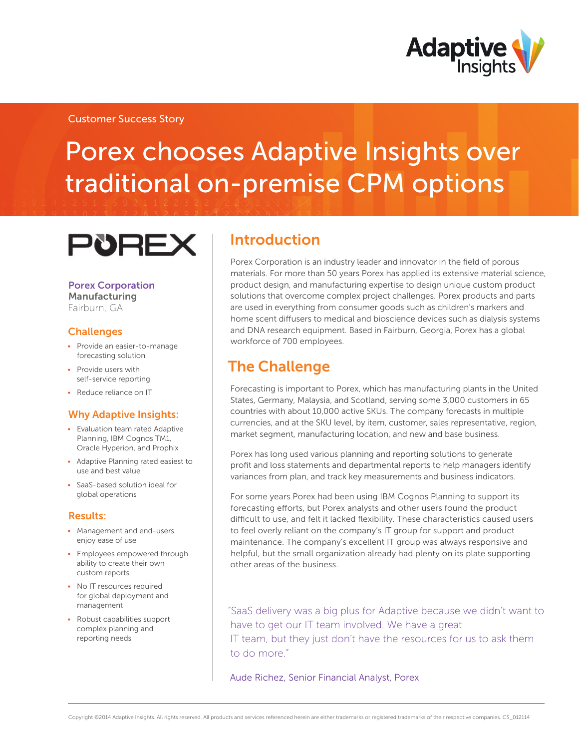

# Porex chooses Adaptive Insights over traditional on-premise CPM options

# **PUREX**

#### Porex Corporation Manufacturing Fairburn, GA

### **Challenges**

- Provide an easier-to-manage forecasting solution
- Provide users with self-service reporting
- Reduce reliance on IT

### Why Adaptive Insights:

- • Evaluation team rated Adaptive Planning, IBM Cognos TM1, Oracle Hyperion, and Prophix
- • Adaptive Planning rated easiest to use and best value
- • SaaS-based solution ideal for global operations

#### Results:

- • Management and end-users enjoy ease of use
- Employees empowered through ability to create their own custom reports
- No IT resources required for global deployment and management
- Robust capabilities support complex planning and reporting needs

### Introduction

Porex Corporation is an industry leader and innovator in the field of porous materials. For more than 50 years Porex has applied its extensive material science, product design, and manufacturing expertise to design unique custom product solutions that overcome complex project challenges. Porex products and parts are used in everything from consumer goods such as children's markers and home scent diffusers to medical and bioscience devices such as dialysis systems and DNA research equipment. Based in Fairburn, Georgia, Porex has a global workforce of 700 employees.

### The Challenge

Forecasting is important to Porex, which has manufacturing plants in the United States, Germany, Malaysia, and Scotland, serving some 3,000 customers in 65 countries with about 10,000 active SKUs. The company forecasts in multiple currencies, and at the SKU level, by item, customer, sales representative, region, market segment, manufacturing location, and new and base business.

Porex has long used various planning and reporting solutions to generate profit and loss statements and departmental reports to help managers identify variances from plan, and track key measurements and business indicators.

For some years Porex had been using IBM Cognos Planning to support its forecasting efforts, but Porex analysts and other users found the product difficult to use, and felt it lacked flexibility. These characteristics caused users to feel overly reliant on the company's IT group for support and product maintenance. The company's excellent IT group was always responsive and helpful, but the small organization already had plenty on its plate supporting other areas of the business.

"SaaS delivery was a big plus for Adaptive because we didn't want to have to get our IT team involved. We have a great IT team, but they just don't have the resources for us to ask them to do more."

Aude Richez, Senior Financial Analyst, Porex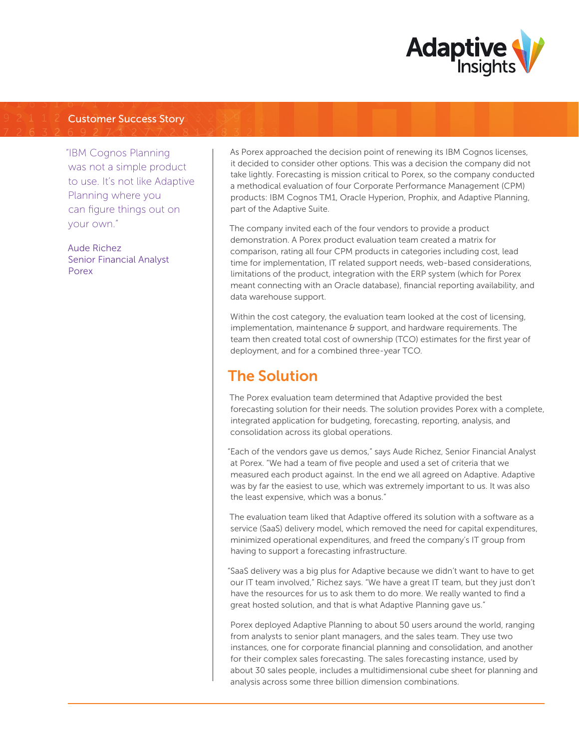

"IBM Cognos Planning was not a simple product to use. It's not like Adaptive Planning where you can figure things out on your own."

Aude Richez Senior Financial Analyst Porex

As Porex approached the decision point of renewing its IBM Cognos licenses, it decided to consider other options. This was a decision the company did not take lightly. Forecasting is mission critical to Porex, so the company conducted a methodical evaluation of four Corporate Performance Management (CPM) products: IBM Cognos TM1, Oracle Hyperion, Prophix, and Adaptive Planning, part of the Adaptive Suite.

The company invited each of the four vendors to provide a product demonstration. A Porex product evaluation team created a matrix for comparison, rating all four CPM products in categories including cost, lead time for implementation, IT related support needs, web-based considerations, limitations of the product, integration with the ERP system (which for Porex meant connecting with an Oracle database), financial reporting availability, and data warehouse support.

Within the cost category, the evaluation team looked at the cost of licensing, implementation, maintenance & support, and hardware requirements. The team then created total cost of ownership (TCO) estimates for the first year of deployment, and for a combined three-year TCO.

## The Solution

The Porex evaluation team determined that Adaptive provided the best forecasting solution for their needs. The solution provides Porex with a complete, integrated application for budgeting, forecasting, reporting, analysis, and consolidation across its global operations.

"Each of the vendors gave us demos," says Aude Richez, Senior Financial Analyst at Porex. "We had a team of five people and used a set of criteria that we measured each product against. In the end we all agreed on Adaptive. Adaptive was by far the easiest to use, which was extremely important to us. It was also the least expensive, which was a bonus."

The evaluation team liked that Adaptive offered its solution with a software as a service (SaaS) delivery model, which removed the need for capital expenditures, minimized operational expenditures, and freed the company's IT group from having to support a forecasting infrastructure.

"SaaS delivery was a big plus for Adaptive because we didn't want to have to get our IT team involved," Richez says. "We have a great IT team, but they just don't have the resources for us to ask them to do more. We really wanted to find a great hosted solution, and that is what Adaptive Planning gave us."

Porex deployed Adaptive Planning to about 50 users around the world, ranging from analysts to senior plant managers, and the sales team. They use two instances, one for corporate financial planning and consolidation, and another for their complex sales forecasting. The sales forecasting instance, used by about 30 sales people, includes a multidimensional cube sheet for planning and analysis across some three billion dimension combinations.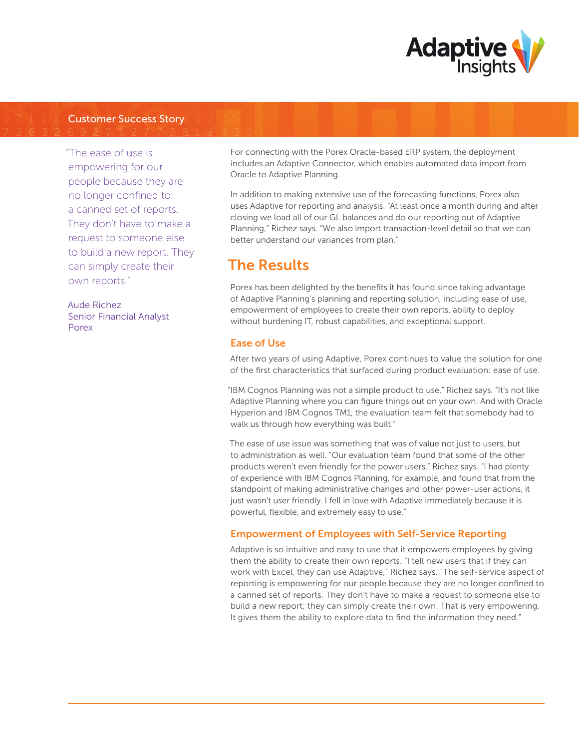

"The ease of use is empowering for our people because they are no longer confined to a canned set of reports. They don't have to make a request to someone else to build a new report. They can simply create their own reports."

Aude Richez Senior Financial Analyst Porex

For connecting with the Porex Oracle-based ERP system, the deployment includes an Adaptive Connector, which enables automated data import from Oracle to Adaptive Planning.

In addition to making extensive use of the forecasting functions, Porex also uses Adaptive for reporting and analysis. "At least once a month during and after closing we load all of our GL balances and do our reporting out of Adaptive Planning," Richez says. "We also import transaction-level detail so that we can better understand our variances from plan."

## The Results

Porex has been delighted by the benefits it has found since taking advantage of Adaptive Planning's planning and reporting solution, including ease of use, empowerment of employees to create their own reports, ability to deploy without burdening IT, robust capabilities, and exceptional support.

### Ease of Use

After two years of using Adaptive, Porex continues to value the solution for one of the first characteristics that surfaced during product evaluation: ease of use.

"IBM Cognos Planning was not a simple product to use," Richez says. "It's not like Adaptive Planning where you can figure things out on your own. And with Oracle Hyperion and IBM Cognos TM1, the evaluation team felt that somebody had to walk us through how everything was built."

The ease of use issue was something that was of value not just to users, but to administration as well. "Our evaluation team found that some of the other products weren't even friendly for the power users," Richez says. "I had plenty of experience with IBM Cognos Planning, for example, and found that from the standpoint of making administrative changes and other power-user actions, it just wasn't user friendly. I fell in love with Adaptive immediately because it is powerful, flexible, and extremely easy to use."

### Empowerment of Employees with Self-Service Reporting

Adaptive is so intuitive and easy to use that it empowers employees by giving them the ability to create their own reports. "I tell new users that if they can work with Excel, they can use Adaptive," Richez says. "The self-service aspect of reporting is empowering for our people because they are no longer confined to a canned set of reports. They don't have to make a request to someone else to build a new report; they can simply create their own. That is very empowering. It gives them the ability to explore data to find the information they need."